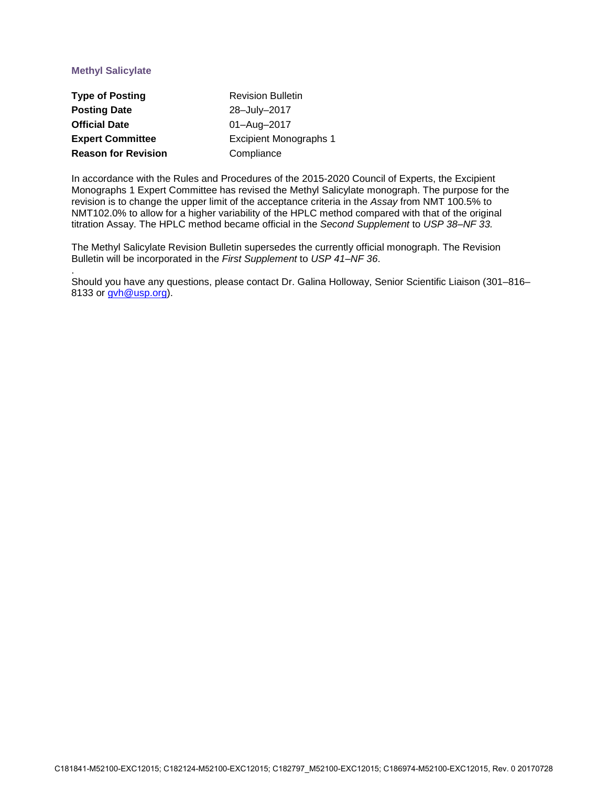# **Methyl Salicylate**

.

| <b>Type of Posting</b>     | <b>Revision Bulletin</b>      |
|----------------------------|-------------------------------|
| <b>Posting Date</b>        | 28-July-2017                  |
| <b>Official Date</b>       | 01-Aug-2017                   |
| <b>Expert Committee</b>    | <b>Excipient Monographs 1</b> |
| <b>Reason for Revision</b> | Compliance                    |

In accordance with the Rules and Procedures of the 2015-2020 Council of Experts, the Excipient Monographs 1 Expert Committee has revised the Methyl Salicylate monograph. The purpose for the revision is to change the upper limit of the acceptance criteria in the *Assay* from NMT 100.5% to NMT102.0% to allow for a higher variability of the HPLC method compared with that of the original titration Assay. The HPLC method became official in the *Second Supplement* to *USP 38‒NF 33.*

The Methyl Salicylate Revision Bulletin supersedes the currently official monograph. The Revision Bulletin will be incorporated in the *First Supplement* to *USP 41‒NF 36*.

Should you have any questions, please contact Dr. Galina Holloway, Senior Scientific Liaison (301–816– 8133 or [gvh@usp.org\)](mailto:gvh@usp.org).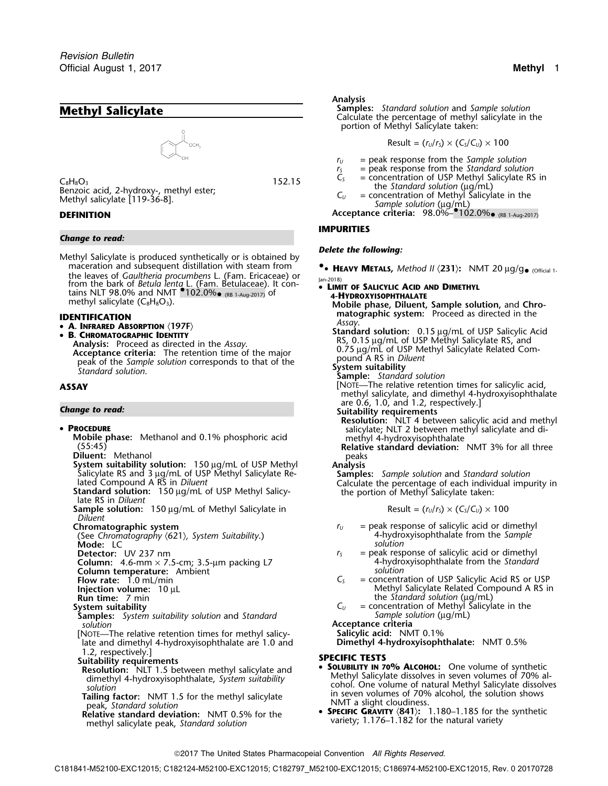

### *Change to read:*

*Delete the following:* Methyl Salicylate is produced synthetically or is obtained by maceration and subsequent distillation with steam from **•**the leaves of *Gaultheria procumbens* L. (Fam. Ericaceae) or<br>from the bark of *Betula lenta* L. (Fam. Betulaceae). It con-<br>tains NLT 98.0% and NMT **COLO 20%** (RB 1-Aug-2017) of **LIMIT OF SALICYLIC ACID AND DIMETHYL**<br>methy

- 
- 

Analysis: Proceed as directed in the Assay.<br>
Acceptance criteria: The retention time of the major<br>
peak of the Sample solution corresponds to that of the<br>
Standard solution.<br>
Standard solution.<br>
Sample: Standard solution

### •

- 
- 
- 
- 
- **Sample solution:** 150 µg/mL of Methyl Salicylate in Result =  $(r_U/r_S) \times (C_S/C_U) \times 100$ *Diluent*
- 

(See *Chromatography* 〈621〉*, System Suitability*.) 4-hydroxyisophthalate from the *Sample*

**Mode:** LC<br>**Detector:** UV 237 nm

**Column:** 4.6-mm × 7.5-cm; 3.5-µm packing L7 4-hydroxyisophthalate from the *Standard*<br> **Column temperature:** Ambient

- 
- **Column temperature:** Ambient **solution Flow rate:** 1.0 mL/min
- 
- 
- 
- **Samples:** *System suitability solution* and *Standard Sample solution* (µg/mL) *solution* **Acceptance criteria**
- [NOTE—The relative retention times for methyl salicy- **Salicylic acid:** NMT 0.1% late and dimethyl 4-hydroxyisophthalate are 1.0 and 1.2, respectively.]

- 
- 
- methyl salicylate peak, *Standard solution*<br>methyl salicylate peak, *Standard solution Standard solution*

### **Analysis**

Calculate the percentage of methyl salicylate in the portion of Methyl Salicylate taken:

$$
Result = (r_U/r_S) \times (C_S/C_U) \times 100
$$

- *<sup>r</sup><sup>U</sup>* = peak response from the *Sample solution*
- $r_s$  = peak response from the *Standard solution*<br> $C_s$  = concentration of USP Methyl Salicylate RS
- $C_8H_8O_3$ <br>  $C_8H_8O_3$  = concentration of USP Methyl Salicylate RS in<br>  $C_U$  = concentration of USP Methyl Salicylate RS in<br>  $C_U$  = concentration of Methyl Salicylate in the<br>  $C_U$  = concentration of Methyl Salicylate in
- *C<sub>U</sub>* = concentration of Methyl Salicylate in the<br>Methyl salicylate [119-36-8].<br>**DEFINITION Acceptance criteria:** 98.0%–<sup>•</sup>102.0%• (RB 1-Aug-2017)
	-

## **IMPURITIES**

- **•• Heavy Metals,** Method II (231): NMT 20  $\mu$ g/g• (official 1-<br>|an-2018)<br>• LIMIT OF SALICYLIC ACID AND DIMETHYL
- 
- methyl salicylate (C<sub>8</sub>H<sub>8</sub>O<sub>3</sub>).<br> **Mobile phase, Diluent, Sample solution,** and Chro-<br> **IDENTIFICATION Assay.**<br> **A. INFRARED ABSORPTION** (197F) **Assay.**<br> **A. INFRARED ABSORPTION** (197F) **Assay. <sup>A</sup>. INFRARED ABSORPTION** 〈**197F**〉 **Standard solution:** 0.15 <sup>µ</sup>g/mL of USP Salicylic Acid •**ASSAY** [NOTE—The relative retention times for salicylic acid, methyl salicylate, and dimethyl 4-hydroxyisophthalate are 0.6, 1.0, and 1.2, respectively.] *Change to read:* **Suitability requirements Resolution:** NLT 4 between salicylic acid and methyl **PROCEDURE**<br> **PROCEDURE** salicylate; NLT 2 between methyl salicylate and di-<br> **Mobile phase:** Methanol and 0.1% phosphoric acid methyl 4-hydroxyisophthalate<br> **Relative standard deviation:** NMT 3% for all three<br>
peaks **Diluent:** Methanol peaks **System suitability solution:**<sup>150</sup> <sup>µ</sup>g/mL of USP Methyl **Analysis** Salicylate RS and 3 <sup>µ</sup>g/mL of USP Methyl Salicylate Re- **Samples:** *Sample solution* and *Standard solution* lated Compound A RS in *Diluent*<br> **Standard solution:** 150 µg/mL of USP Methyl Salicy- late portion of Methyl Salicylate taken: late RS in *Diluent*<br>
late RS in *Diluent* **Chromatographic system**<br>(See Chromatography  $\langle 621 \rangle$ , System Suitability.) *r***<sub>U</sub>** = peak response of salicylic acid or dimethyl<br>4-hydroxyisophthalate from the Sample  $r<sub>S</sub>$  = peak response of salicylic acid or dimethyl<br>4-hydroxyisophthalate from the Standard
	-

- **Flow rate:** 1.0 mL/min **C**<sub>S</sub> = concentration of USP Salicylic Acid RS or USP **Injection volume:** 10 µL **Injection volume:** 10 µL **Injection volume:** 10 µL **Injection volume:** 10 µL Methyl Salicylate Related Compound A RS in Run time: 7 min **Run time:** 7 min the *Standard solution* (µg/mL)
- **System suitability** *C<sub>U</sub>* = concentration of Methyl Salicylate in the

- 1.2, respectively.]<br>**SPECIFIC TESTS**<br>**Resolution:** NLT 1.5 between methyl salicylate and  **SOLUBILITY IN 70% ALCOHOL:** One volume of synthetic dimethyl 4-hydroxyisophthalate, *System* suitability<br>
solution<br>
Tailing factor: NMT 1.5 for the methyl salicylate<br>
peak, *Standard solution*<br>
Relative standard deviation: NMT 0.5% for the<br>
Relative standard deviation: NMT
	- **SPECIFIC GRAVITY**  $\langle 841 \rangle$ : 1.180-1.185 for the synthetic